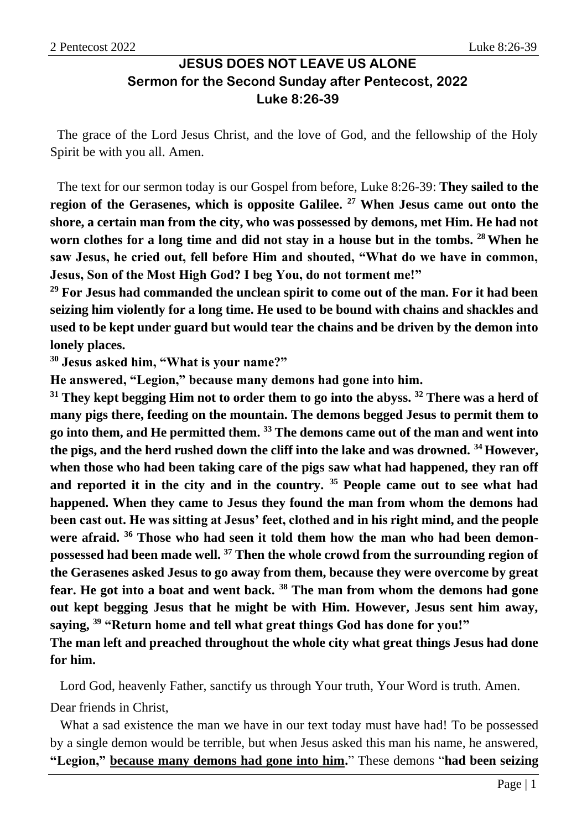# **JESUS DOES NOT LEAVE US ALONE Sermon for the Second Sunday after Pentecost, 2022 Luke 8:26-39**

The grace of the Lord Jesus Christ, and the love of God, and the fellowship of the Holy Spirit be with you all. Amen.

The text for our sermon today is our Gospel from before, Luke 8:26-39: **They sailed to the region of the Gerasenes, which is opposite Galilee. <sup>27</sup> When Jesus came out onto the shore, a certain man from the city, who was possessed by demons, met Him. He had not worn clothes for a long time and did not stay in a house but in the tombs. <sup>28</sup>When he saw Jesus, he cried out, fell before Him and shouted, "What do we have in common, Jesus, Son of the Most High God? I beg You, do not torment me!"**

**<sup>29</sup> For Jesus had commanded the unclean spirit to come out of the man. For it had been seizing him violently for a long time. He used to be bound with chains and shackles and used to be kept under guard but would tear the chains and be driven by the demon into lonely places.**

**<sup>30</sup> Jesus asked him, "What is your name?"**

**He answered, "Legion," because many demons had gone into him.**

**<sup>31</sup> They kept begging Him not to order them to go into the abyss. <sup>32</sup> There was a herd of many pigs there, feeding on the mountain. The demons begged Jesus to permit them to go into them, and He permitted them. <sup>33</sup> The demons came out of the man and went into the pigs, and the herd rushed down the cliff into the lake and was drowned. <sup>34</sup> However, when those who had been taking care of the pigs saw what had happened, they ran off and reported it in the city and in the country. <sup>35</sup> People came out to see what had happened. When they came to Jesus they found the man from whom the demons had been cast out. He was sitting at Jesus' feet, clothed and in his right mind, and the people were afraid. <sup>36</sup> Those who had seen it told them how the man who had been demonpossessed had been made well. <sup>37</sup> Then the whole crowd from the surrounding region of the Gerasenes asked Jesus to go away from them, because they were overcome by great fear. He got into a boat and went back. <sup>38</sup> The man from whom the demons had gone out kept begging Jesus that he might be with Him. However, Jesus sent him away, saying, <sup>39</sup> "Return home and tell what great things God has done for you!"**

**The man left and preached throughout the whole city what great things Jesus had done for him.**

Lord God, heavenly Father, sanctify us through Your truth, Your Word is truth. Amen.

Dear friends in Christ,

What a sad existence the man we have in our text today must have had! To be possessed by a single demon would be terrible, but when Jesus asked this man his name, he answered, **"Legion," because many demons had gone into him.**" These demons "**had been seizing**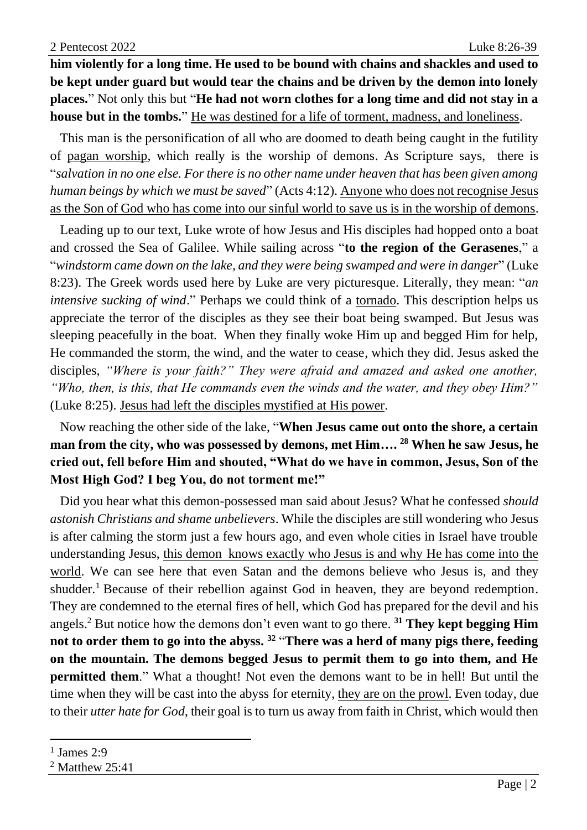**him violently for a long time. He used to be bound with chains and shackles and used to be kept under guard but would tear the chains and be driven by the demon into lonely places.**" Not only this but "**He had not worn clothes for a long time and did not stay in a house but in the tombs.**" He was destined for a life of torment, madness, and loneliness.

This man is the personification of all who are doomed to death being caught in the futility of pagan worship, which really is the worship of demons. As Scripture says, there is "*salvation in no one else. For there is no other name under heaven that has been given among human beings by which we must be saved*" (Acts 4:12). Anyone who does not recognise Jesus as the Son of God who has come into our sinful world to save us is in the worship of demons.

Leading up to our text, Luke wrote of how Jesus and His disciples had hopped onto a boat and crossed the Sea of Galilee. While sailing across "**to the region of the Gerasenes**," a "*windstorm came down on the lake, and they were being swamped and were in danger*" (Luke 8:23). The Greek words used here by Luke are very picturesque. Literally, they mean: "*an intensive sucking of wind.*" Perhaps we could think of a tornado. This description helps us appreciate the terror of the disciples as they see their boat being swamped. But Jesus was sleeping peacefully in the boat. When they finally woke Him up and begged Him for help, He commanded the storm, the wind, and the water to cease, which they did. Jesus asked the disciples, *"Where is your faith?" They were afraid and amazed and asked one another, "Who, then, is this, that He commands even the winds and the water, and they obey Him?"* (Luke 8:25). Jesus had left the disciples mystified at His power.

Now reaching the other side of the lake, "**When Jesus came out onto the shore, a certain man from the city, who was possessed by demons, met Him…. <sup>28</sup> When he saw Jesus, he cried out, fell before Him and shouted, "What do we have in common, Jesus, Son of the Most High God? I beg You, do not torment me!"**

Did you hear what this demon-possessed man said about Jesus? What he confessed *should astonish Christians and shame unbelievers*. While the disciples are still wondering who Jesus is after calming the storm just a few hours ago, and even whole cities in Israel have trouble understanding Jesus, this demon knows exactly who Jesus is and why He has come into the world. We can see here that even Satan and the demons believe who Jesus is, and they shudder.<sup>1</sup> Because of their rebellion against God in heaven, they are beyond redemption. They are condemned to the eternal fires of hell, which God has prepared for the devil and his angels. <sup>2</sup> But notice how the demons don't even want to go there. **<sup>31</sup> They kept begging Him not to order them to go into the abyss. <sup>32</sup>** "**There was a herd of many pigs there, feeding on the mountain. The demons begged Jesus to permit them to go into them, and He permitted them.**" What a thought! Not even the demons want to be in hell! But until the time when they will be cast into the abyss for eternity, they are on the prowl. Even today, due to their *utter hate for God*, their goal is to turn us away from faith in Christ, which would then

<sup>1</sup> James 2:9

<sup>2</sup> Matthew 25:41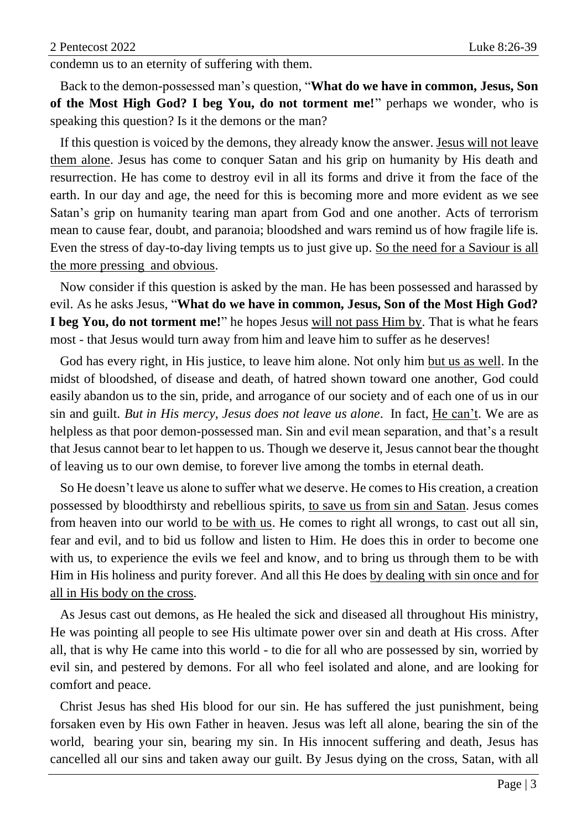condemn us to an eternity of suffering with them.

Back to the demon-possessed man's question, "**What do we have in common, Jesus, Son of the Most High God? I beg You, do not torment me!**" perhaps we wonder, who is speaking this question? Is it the demons or the man?

If this question is voiced by the demons, they already know the answer. Jesus will not leave them alone. Jesus has come to conquer Satan and his grip on humanity by His death and resurrection. He has come to destroy evil in all its forms and drive it from the face of the earth. In our day and age, the need for this is becoming more and more evident as we see Satan's grip on humanity tearing man apart from God and one another. Acts of terrorism mean to cause fear, doubt, and paranoia; bloodshed and wars remind us of how fragile life is. Even the stress of day-to-day living tempts us to just give up. So the need for a Saviour is all the more pressing and obvious.

Now consider if this question is asked by the man. He has been possessed and harassed by evil. As he asks Jesus, "**What do we have in common, Jesus, Son of the Most High God? I beg You, do not torment me!**" he hopes Jesus will not pass Him by. That is what he fears most - that Jesus would turn away from him and leave him to suffer as he deserves!

God has every right, in His justice, to leave him alone. Not only him but us as well. In the midst of bloodshed, of disease and death, of hatred shown toward one another, God could easily abandon us to the sin, pride, and arrogance of our society and of each one of us in our sin and guilt. *But in His mercy, Jesus does not leave us alone*. In fact, He can't. We are as helpless as that poor demon-possessed man. Sin and evil mean separation, and that's a result that Jesus cannot bear to let happen to us. Though we deserve it, Jesus cannot bear the thought of leaving us to our own demise, to forever live among the tombs in eternal death.

So He doesn't leave us alone to suffer what we deserve. He comes to His creation, a creation possessed by bloodthirsty and rebellious spirits, to save us from sin and Satan. Jesus comes from heaven into our world to be with us. He comes to right all wrongs, to cast out all sin, fear and evil, and to bid us follow and listen to Him. He does this in order to become one with us, to experience the evils we feel and know, and to bring us through them to be with Him in His holiness and purity forever. And all this He does by dealing with sin once and for all in His body on the cross.

As Jesus cast out demons, as He healed the sick and diseased all throughout His ministry, He was pointing all people to see His ultimate power over sin and death at His cross. After all, that is why He came into this world - to die for all who are possessed by sin, worried by evil sin, and pestered by demons. For all who feel isolated and alone, and are looking for comfort and peace.

Christ Jesus has shed His blood for our sin. He has suffered the just punishment, being forsaken even by His own Father in heaven. Jesus was left all alone, bearing the sin of the world, bearing your sin, bearing my sin. In His innocent suffering and death, Jesus has cancelled all our sins and taken away our guilt. By Jesus dying on the cross, Satan, with all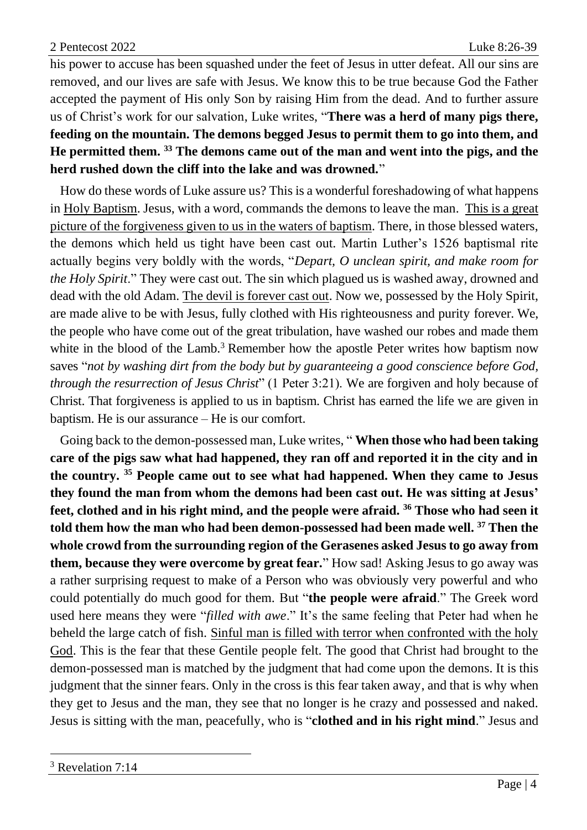his power to accuse has been squashed under the feet of Jesus in utter defeat. All our sins are removed, and our lives are safe with Jesus. We know this to be true because God the Father accepted the payment of His only Son by raising Him from the dead. And to further assure us of Christ's work for our salvation, Luke writes, "**There was a herd of many pigs there, feeding on the mountain. The demons begged Jesus to permit them to go into them, and He permitted them. <sup>33</sup> The demons came out of the man and went into the pigs, and the herd rushed down the cliff into the lake and was drowned.**"

How do these words of Luke assure us? This is a wonderful foreshadowing of what happens in Holy Baptism. Jesus, with a word, commands the demons to leave the man. This is a great picture of the forgiveness given to us in the waters of baptism. There, in those blessed waters, the demons which held us tight have been cast out. Martin Luther's 1526 baptismal rite actually begins very boldly with the words, "*Depart, O unclean spirit, and make room for the Holy Spirit*." They were cast out. The sin which plagued us is washed away, drowned and dead with the old Adam. The devil is forever cast out. Now we, possessed by the Holy Spirit, are made alive to be with Jesus, fully clothed with His righteousness and purity forever. We, the people who have come out of the great tribulation, have washed our robes and made them white in the blood of the Lamb.<sup>3</sup> Remember how the apostle Peter writes how baptism now saves "*not by washing dirt from the body but by guaranteeing a good conscience before God, through the resurrection of Jesus Christ*" (1 Peter 3:21). We are forgiven and holy because of Christ. That forgiveness is applied to us in baptism. Christ has earned the life we are given in baptism. He is our assurance – He is our comfort.

Going back to the demon-possessed man, Luke writes, " **When those who had been taking care of the pigs saw what had happened, they ran off and reported it in the city and in the country. <sup>35</sup> People came out to see what had happened. When they came to Jesus they found the man from whom the demons had been cast out. He was sitting at Jesus' feet, clothed and in his right mind, and the people were afraid. <sup>36</sup> Those who had seen it told them how the man who had been demon-possessed had been made well. <sup>37</sup> Then the whole crowd from the surrounding region of the Gerasenes asked Jesus to go away from them, because they were overcome by great fear.**" How sad! Asking Jesus to go away was a rather surprising request to make of a Person who was obviously very powerful and who could potentially do much good for them. But "**the people were afraid**." The Greek word used here means they were "*filled with awe*." It's the same feeling that Peter had when he beheld the large catch of fish. Sinful man is filled with terror when confronted with the holy God. This is the fear that these Gentile people felt. The good that Christ had brought to the demon-possessed man is matched by the judgment that had come upon the demons. It is this judgment that the sinner fears. Only in the cross is this fear taken away, and that is why when they get to Jesus and the man, they see that no longer is he crazy and possessed and naked. Jesus is sitting with the man, peacefully, who is "**clothed and in his right mind**." Jesus and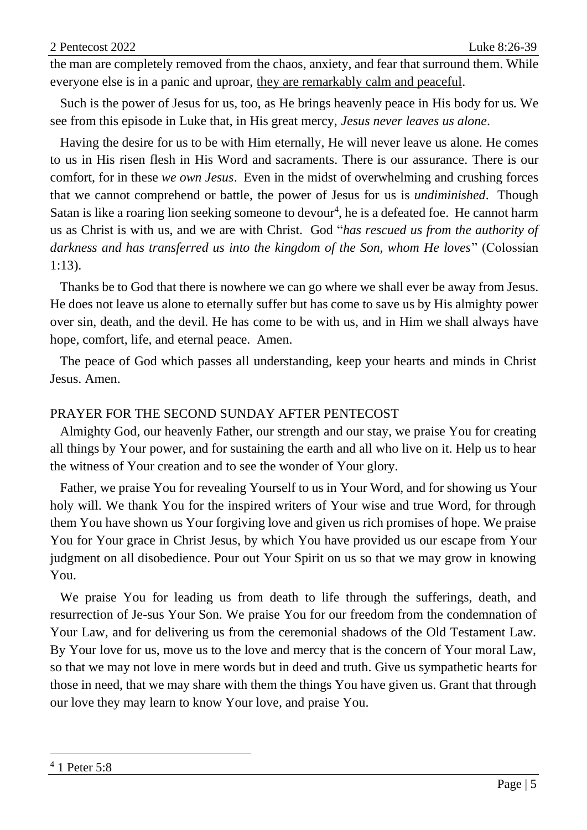the man are completely removed from the chaos, anxiety, and fear that surround them. While everyone else is in a panic and uproar, they are remarkably calm and peaceful.

Such is the power of Jesus for us, too, as He brings heavenly peace in His body for us. We see from this episode in Luke that, in His great mercy, *Jesus never leaves us alone*.

Having the desire for us to be with Him eternally, He will never leave us alone. He comes to us in His risen flesh in His Word and sacraments. There is our assurance. There is our comfort, for in these *we own Jesus*. Even in the midst of overwhelming and crushing forces that we cannot comprehend or battle, the power of Jesus for us is *undiminished*. Though Satan is like a roaring lion seeking someone to devour<sup>4</sup>, he is a defeated foe. He cannot harm us as Christ is with us, and we are with Christ. God "*has rescued us from the authority of darkness and has transferred us into the kingdom of the Son, whom He loves*" (Colossian 1:13).

Thanks be to God that there is nowhere we can go where we shall ever be away from Jesus. He does not leave us alone to eternally suffer but has come to save us by His almighty power over sin, death, and the devil. He has come to be with us, and in Him we shall always have hope, comfort, life, and eternal peace. Amen.

The peace of God which passes all understanding, keep your hearts and minds in Christ Jesus. Amen.

### PRAYER FOR THE SECOND SUNDAY AFTER PENTECOST

Almighty God, our heavenly Father, our strength and our stay, we praise You for creating all things by Your power, and for sustaining the earth and all who live on it. Help us to hear the witness of Your creation and to see the wonder of Your glory.

Father, we praise You for revealing Yourself to us in Your Word, and for showing us Your holy will. We thank You for the inspired writers of Your wise and true Word, for through them You have shown us Your forgiving love and given us rich promises of hope. We praise You for Your grace in Christ Jesus, by which You have provided us our escape from Your judgment on all disobedience. Pour out Your Spirit on us so that we may grow in knowing You.

We praise You for leading us from death to life through the sufferings, death, and resurrection of Je-sus Your Son. We praise You for our freedom from the condemnation of Your Law, and for delivering us from the ceremonial shadows of the Old Testament Law. By Your love for us, move us to the love and mercy that is the concern of Your moral Law, so that we may not love in mere words but in deed and truth. Give us sympathetic hearts for those in need, that we may share with them the things You have given us. Grant that through our love they may learn to know Your love, and praise You.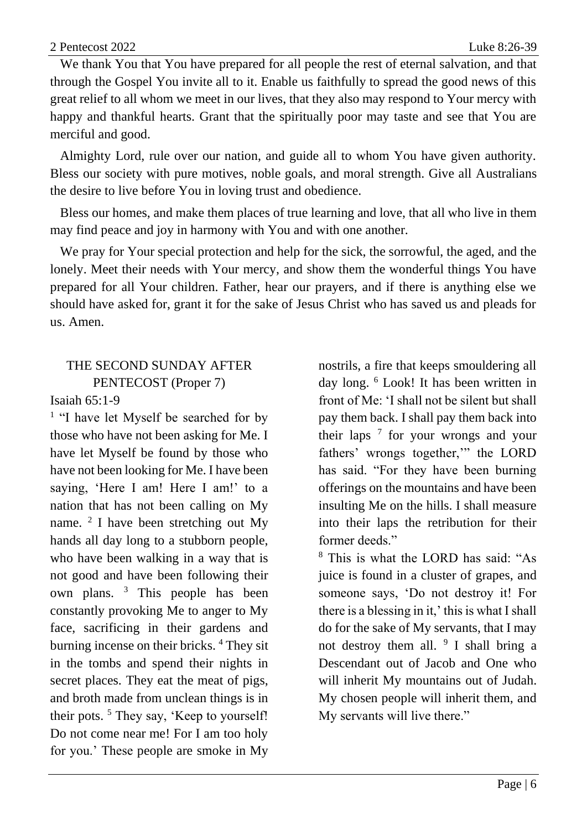We thank You that You have prepared for all people the rest of eternal salvation, and that through the Gospel You invite all to it. Enable us faithfully to spread the good news of this great relief to all whom we meet in our lives, that they also may respond to Your mercy with happy and thankful hearts. Grant that the spiritually poor may taste and see that You are merciful and good.

Almighty Lord, rule over our nation, and guide all to whom You have given authority. Bless our society with pure motives, noble goals, and moral strength. Give all Australians the desire to live before You in loving trust and obedience.

Bless our homes, and make them places of true learning and love, that all who live in them may find peace and joy in harmony with You and with one another.

We pray for Your special protection and help for the sick, the sorrowful, the aged, and the lonely. Meet their needs with Your mercy, and show them the wonderful things You have prepared for all Your children. Father, hear our prayers, and if there is anything else we should have asked for, grant it for the sake of Jesus Christ who has saved us and pleads for us. Amen.

### THE SECOND SUNDAY AFTER PENTECOST (Proper 7)

#### Isaiah 65:1-9

<sup>1</sup> "I have let Myself be searched for by those who have not been asking for Me. I have let Myself be found by those who have not been looking for Me. I have been saying, 'Here I am! Here I am!' to a nation that has not been calling on My name. <sup>2</sup> I have been stretching out My hands all day long to a stubborn people, who have been walking in a way that is not good and have been following their own plans. <sup>3</sup> This people has been constantly provoking Me to anger to My face, sacrificing in their gardens and burning incense on their bricks. <sup>4</sup> They sit in the tombs and spend their nights in secret places. They eat the meat of pigs, and broth made from unclean things is in their pots.<sup>5</sup> They say, 'Keep to yourself! Do not come near me! For I am too holy for you.' These people are smoke in My

nostrils, a fire that keeps smouldering all day long. <sup>6</sup> Look! It has been written in front of Me: 'I shall not be silent but shall pay them back. I shall pay them back into their laps <sup>7</sup> for your wrongs and your fathers' wrongs together,'" the LORD has said. "For they have been burning offerings on the mountains and have been insulting Me on the hills. I shall measure into their laps the retribution for their former deeds."

<sup>8</sup> This is what the LORD has said: "As juice is found in a cluster of grapes, and someone says, 'Do not destroy it! For there is a blessing in it,' this is what I shall do for the sake of My servants, that I may not destroy them all. <sup>9</sup> I shall bring a Descendant out of Jacob and One who will inherit My mountains out of Judah. My chosen people will inherit them, and My servants will live there."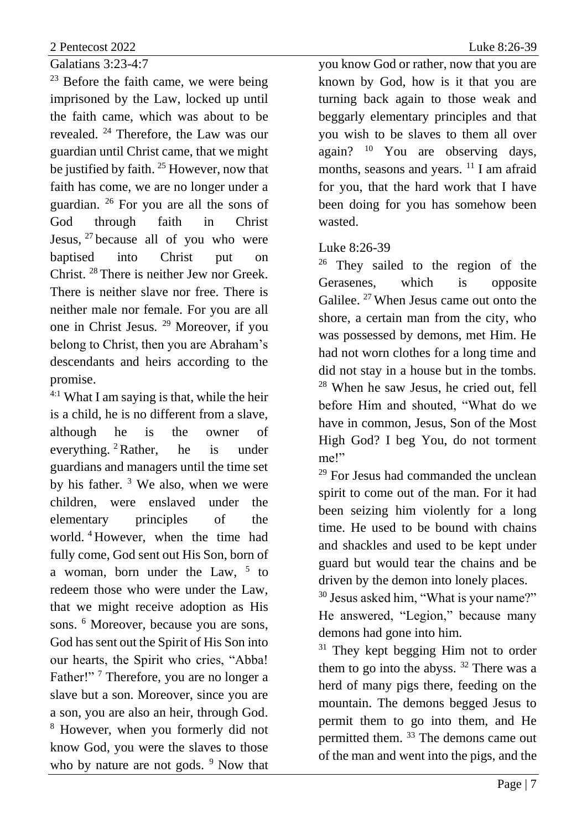Galatians 3:23-4:7

 $23$  Before the faith came, we were being imprisoned by the Law, locked up until the faith came, which was about to be revealed. <sup>24</sup> Therefore, the Law was our guardian until Christ came, that we might be justified by faith. <sup>25</sup> However, now that faith has come, we are no longer under a guardian. <sup>26</sup> For you are all the sons of God through faith in Christ Jesus, <sup>27</sup> because all of you who were baptised into Christ put Christ. <sup>28</sup> There is neither Jew nor Greek. There is neither slave nor free. There is neither male nor female. For you are all one in Christ Jesus. <sup>29</sup> Moreover, if you belong to Christ, then you are Abraham's descendants and heirs according to the promise.

4:1 What I am saying is that, while the heir is a child, he is no different from a slave, although he is the owner of everything. <sup>2</sup>Rather, he is under guardians and managers until the time set by his father.  $3$  We also, when we were children, were enslaved under the elementary principles of the world. <sup>4</sup> However, when the time had fully come, God sent out His Son, born of a woman, born under the Law, <sup>5</sup> to redeem those who were under the Law, that we might receive adoption as His sons. <sup>6</sup> Moreover, because you are sons, God has sent out the Spirit of His Son into our hearts, the Spirit who cries, "Abba! Father!"<sup>7</sup> Therefore, you are no longer a slave but a son. Moreover, since you are a son, you are also an heir, through God. <sup>8</sup> However, when you formerly did not know God, you were the slaves to those who by nature are not gods.  $9$  Now that you know God or rather, now that you are known by God, how is it that you are turning back again to those weak and beggarly elementary principles and that you wish to be slaves to them all over again? <sup>10</sup> You are observing days, months, seasons and years. <sup>11</sup> I am afraid for you, that the hard work that I have been doing for you has somehow been wasted.

## Luke 8:26-39

<sup>26</sup> They sailed to the region of the Gerasenes, which is opposite Galilee. <sup>27</sup> When Jesus came out onto the shore, a certain man from the city, who was possessed by demons, met Him. He had not worn clothes for a long time and did not stay in a house but in the tombs. <sup>28</sup> When he saw Jesus, he cried out, fell before Him and shouted, "What do we have in common, Jesus, Son of the Most High God? I beg You, do not torment me!"

<sup>29</sup> For Jesus had commanded the unclean spirit to come out of the man. For it had been seizing him violently for a long time. He used to be bound with chains and shackles and used to be kept under guard but would tear the chains and be driven by the demon into lonely places.

<sup>30</sup> Jesus asked him, "What is your name?" He answered, "Legion," because many demons had gone into him.

<sup>31</sup> They kept begging Him not to order them to go into the abyss.  $32$  There was a herd of many pigs there, feeding on the mountain. The demons begged Jesus to permit them to go into them, and He permitted them. <sup>33</sup> The demons came out of the man and went into the pigs, and the